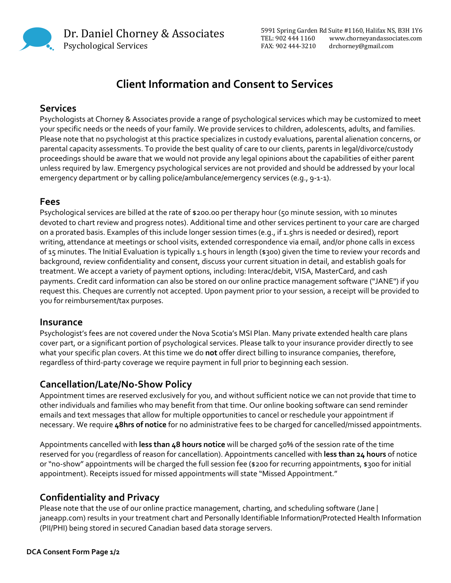Dr. Daniel Chorney & Associates Psychological Services

5991 Spring Garden Rd Suite #1160, Halifax NS, B3H 1Y6 TEL: 902 444 1160 www.chorneyandassociates.com FAX: 902 444-3210 drchorney@gmail.com

# **Client Information and Consent to Services**

## **Services**

Psychologists at Chorney & Associates provide a range of psychological services which may be customized to meet your specific needs or the needs of your family. We provide services to children, adolescents, adults, and families. Please note that no psychologist at this practice specializes in custody evaluations, parental alienation concerns, or parental capacity assessments. To provide the best quality of care to our clients, parents in legal/divorce/custody proceedings should be aware that we would not provide any legal opinions about the capabilities of either parent unless required by law. Emergency psychological services are not provided and should be addressed by your local emergency department or by calling police/ambulance/emergency services (e.g., 9-1-1).

#### **Fees**

Psychological services are billed at the rate of \$200.00 per therapy hour (50 minute session, with 10 minutes devoted to chart review and progress notes). Additional time and other services pertinent to your care are charged on a prorated basis. Examples of this include longer session times (e.g., if 1.5hrs is needed or desired), report writing, attendance at meetings or school visits, extended correspondence via email, and/or phone calls in excess of 15 minutes. The Initial Evaluation is typically 1.5 hours in length (\$300) given the time to review your records and background, review confidentiality and consent, discuss your current situation in detail, and establish goals for treatment. We accept a variety of payment options, including: Interac/debit, VISA, MasterCard, and cash payments. Credit card information can also be stored on our online practice management software ("JANE") if you request this. Cheques are currently not accepted. Upon payment prior to your session, a receipt will be provided to you for reimbursement/tax purposes.

#### **Insurance**

Psychologist's fees are not covered under the Nova Scotia's MSI Plan. Many private extended health care plans cover part, or a significant portion of psychological services. Please talk to your insurance provider directly to see what your specific plan covers. At this time we do **not** offer direct billing to insurance companies, therefore, regardless of third-party coverage we require payment in full prior to beginning each session.

## **Cancellation/Late/No-Show Policy**

Appointment times are reserved exclusively for you, and without sufficient notice we can not provide that time to other individuals and families who may benefit from that time. Our online booking software can send reminder emails and text messages that allow for multiple opportunities to cancel or reschedule your appointment if necessary. We require **48hrs of notice** for no administrative fees to be charged for cancelled/missed appointments.

Appointments cancelled with **less than 48 hours notice** will be charged 50% of the session rate of the time reserved for you (regardless of reason for cancellation). Appointments cancelled with **less than 24 hours** of notice or "no-show" appointments will be charged the full session fee (\$200 for recurring appointments, \$300 for initial appointment). Receipts issued for missed appointments will state "Missed Appointment."

### **Confidentiality and Privacy**

Please note that the use of our online practice management, charting, and scheduling software (Jane | janeapp.com) results in your treatment chart and Personally Identifiable Information/Protected Health Information (PII/PHI) being stored in secured Canadian based data storage servers.